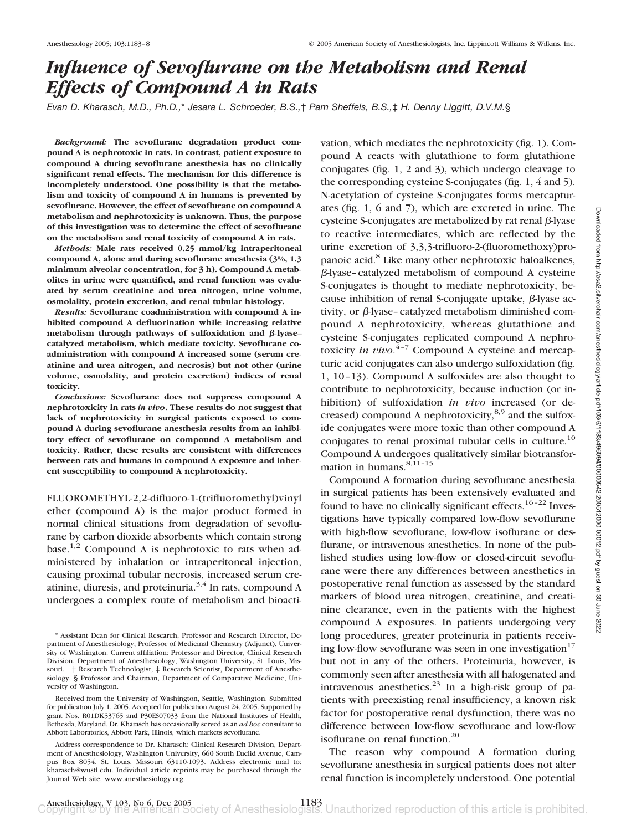# *Influence of Sevoflurane on the Metabolism and Renal Effects of Compound A in Rats*

*Evan D. Kharasch, M.D., Ph.D.,*\* *Jesara L. Schroeder, B.S.,*† *Pam Sheffels, B.S.,*‡ *H. Denny Liggitt, D.V.M.*§

*Background:* **The sevoflurane degradation product compound A is nephrotoxic in rats. In contrast, patient exposure to compound A during sevoflurane anesthesia has no clinically significant renal effects. The mechanism for this difference is incompletely understood. One possibility is that the metabolism and toxicity of compound A in humans is prevented by sevoflurane. However, the effect of sevoflurane on compound A metabolism and nephrotoxicity is unknown. Thus, the purpose of this investigation was to determine the effect of sevoflurane on the metabolism and renal toxicity of compound A in rats.**

*Methods:* **Male rats received 0.25 mmol/kg intraperitoneal compound A, alone and during sevoflurane anesthesia (3%, 1.3 minimum alveolar concentration, for 3 h). Compound A metabolites in urine were quantified, and renal function was evaluated by serum creatinine and urea nitrogen, urine volume, osmolality, protein excretion, and renal tubular histology.**

*Results:* **Sevoflurane coadministration with compound A inhibited compound A defluorination while increasing relative** metabolism through pathways of sulfoxidation and β-lyase**catalyzed metabolism, which mediate toxicity. Sevoflurane coadministration with compound A increased some (serum creatinine and urea nitrogen, and necrosis) but not other (urine volume, osmolality, and protein excretion) indices of renal toxicity.**

*Conclusions:* **Sevoflurane does not suppress compound A nephrotoxicity in rats** *in vivo***. These results do not suggest that lack of nephrotoxicity in surgical patients exposed to compound A during sevoflurane anesthesia results from an inhibitory effect of sevoflurane on compound A metabolism and toxicity. Rather, these results are consistent with differences between rats and humans in compound A exposure and inherent susceptibility to compound A nephrotoxicity.**

FLUOROMETHYL-2,2-difluoro-1-(trifluoromethyl)vinyl ether (compound A) is the major product formed in normal clinical situations from degradation of sevoflurane by carbon dioxide absorbents which contain strong base.<sup>1,2</sup> Compound A is nephrotoxic to rats when administered by inhalation or intraperitoneal injection, causing proximal tubular necrosis, increased serum creatinine, diuresis, and proteinuria.<sup>3,4</sup> In rats, compound A undergoes a complex route of metabolism and bioacti-

vation, which mediates the nephrotoxicity (fig. 1). Compound A reacts with glutathione to form glutathione conjugates (fig. 1, 2 and 3), which undergo cleavage to the corresponding cysteine S-conjugates (fig. 1, 4 and 5). N-acetylation of cysteine S-conjugates forms mercapturates (fig. 1, 6 and 7), which are excreted in urine. The cysteine S-conjugates are metabolized by rat renal  $\beta$ -lyase to reactive intermediates, which are reflected by the urine excretion of 3,3,3-trifluoro-2-(fluoromethoxy)propanoic acid.<sup>8</sup> Like many other nephrotoxic haloalkenes,  $\beta$ -lyase–catalyzed metabolism of compound A cysteine S-conjugates is thought to mediate nephrotoxicity, because inhibition of renal S-conjugate uptake,  $\beta$ -lyase activity, or  $\beta$ -lyase–catalyzed metabolism diminished compound A nephrotoxicity, whereas glutathione and cysteine S-conjugates replicated compound A nephrotoxicity *in vivo*. 4–7 Compound A cysteine and mercapturic acid conjugates can also undergo sulfoxidation (fig. 1, 10–13). Compound A sulfoxides are also thought to contribute to nephrotoxicity, because induction (or inhibition) of sulfoxidation *in vivo* increased (or decreased) compound A nephrotoxicity, $8,9$  and the sulfoxide conjugates were more toxic than other compound A conjugates to renal proximal tubular cells in culture.<sup>10</sup> Compound A undergoes qualitatively similar biotransformation in humans.<sup>8,11-15</sup>

Compound A formation during sevoflurane anesthesia in surgical patients has been extensively evaluated and found to have no clinically significant effects.<sup>16-22</sup> Investigations have typically compared low-flow sevoflurane with high-flow sevoflurane, low-flow isoflurane or desflurane, or intravenous anesthetics. In none of the published studies using low-flow or closed-circuit sevoflurane were there any differences between anesthetics in postoperative renal function as assessed by the standard markers of blood urea nitrogen, creatinine, and creatinine clearance, even in the patients with the highest compound A exposures. In patients undergoing very long procedures, greater proteinuria in patients receiving low-flow sevoflurane was seen in one investigation $17$ but not in any of the others. Proteinuria, however, is commonly seen after anesthesia with all halogenated and intravenous anesthetics.<sup>23</sup> In a high-risk group of patients with preexisting renal insufficiency, a known risk factor for postoperative renal dysfunction, there was no difference between low-flow sevoflurane and low-flow isoflurane on renal function.<sup>20</sup>

The reason why compound A formation during sevoflurane anesthesia in surgical patients does not alter renal function is incompletely understood. One potential

<sup>\*</sup> Assistant Dean for Clinical Research, Professor and Research Director, Department of Anesthesiology; Professor of Medicinal Chemistry (Adjunct), University of Washington. Current affiliation: Professor and Director, Clinical Research Division, Department of Anesthesiology, Washington University, St. Louis, Missouri. † Research Technologist, ‡ Research Scientist, Department of Anesthesiology, § Professor and Chairman, Department of Comparative Medicine, University of Washington.

Received from the University of Washington, Seattle, Washington. Submitted for publication July 1, 2005. Accepted for publication August 24, 2005. Supported by grant Nos. R01DK53765 and P30ES07033 from the National Institutes of Health, Bethesda, Maryland. Dr. Kharasch has occasionally served as an *ad hoc* consultant to Abbott Laboratories, Abbott Park, Illinois, which markets sevoflurane.

Address correspondence to Dr. Kharasch: Clinical Research Division, Department of Anesthesiology, Washington University, 660 South Euclid Avenue, Campus Box 8054, St. Louis, Missouri 63110-1093. Address electronic mail to: kharasch@wustl.edu. Individual article reprints may be purchased through the Journal Web site, www.anesthesiology.org.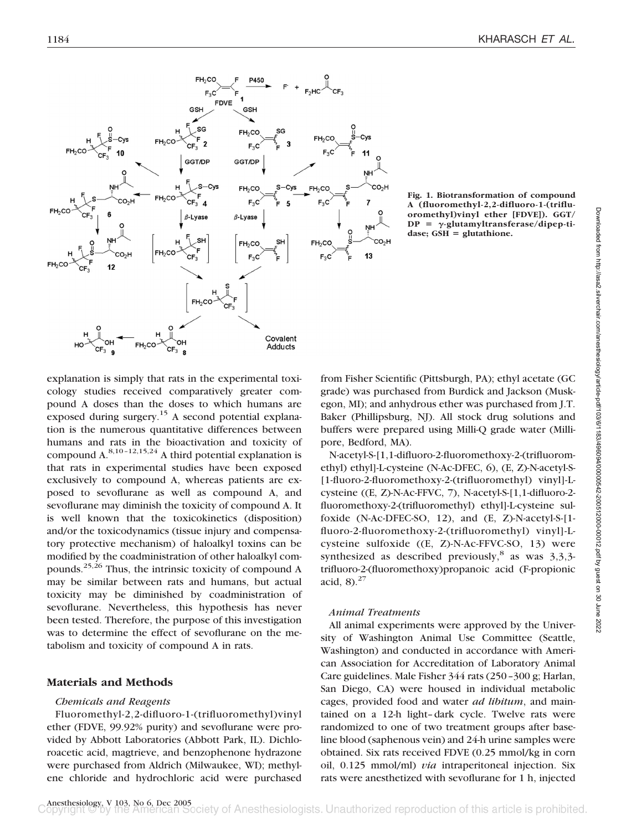

**Fig. 1. Biotransformation of compound A (fluoromethyl-2,2-difluoro-1-(trifluoromethyl)vinyl ether [FDVE]). GGT/**  $DP = \gamma$ -glutamyltransferase/dipep-tidase; GSH = glutathione.

explanation is simply that rats in the experimental toxicology studies received comparatively greater compound A doses than the doses to which humans are exposed during surgery.<sup>15</sup> A second potential explanation is the numerous quantitative differences between humans and rats in the bioactivation and toxicity of compound A.8,10–12,15,24 A third potential explanation is that rats in experimental studies have been exposed exclusively to compound A, whereas patients are exposed to sevoflurane as well as compound A, and sevoflurane may diminish the toxicity of compound A. It is well known that the toxicokinetics (disposition) and/or the toxicodynamics (tissue injury and compensatory protective mechanism) of haloalkyl toxins can be modified by the coadministration of other haloalkyl compounds.25,26 Thus, the intrinsic toxicity of compound A may be similar between rats and humans, but actual toxicity may be diminished by coadministration of sevoflurane. Nevertheless, this hypothesis has never been tested. Therefore, the purpose of this investigation was to determine the effect of sevoflurane on the metabolism and toxicity of compound A in rats.

## **Materials and Methods**

## *Chemicals and Reagents*

Fluoromethyl-2,2-difluoro-1-(trifluoromethyl)vinyl ether (FDVE, 99.92% purity) and sevoflurane were provided by Abbott Laboratories (Abbott Park, IL). Dichloroacetic acid, magtrieve, and benzophenone hydrazone were purchased from Aldrich (Milwaukee, WI); methylene chloride and hydrochloric acid were purchased from Fisher Scientific (Pittsburgh, PA); ethyl acetate (GC grade) was purchased from Burdick and Jackson (Muskegon, MI); and anhydrous ether was purchased from J.T. Baker (Phillipsburg, NJ). All stock drug solutions and buffers were prepared using Milli-Q grade water (Millipore, Bedford, MA).

N-acetyl-S-[1,1-difluoro-2-fluoromethoxy-2-(trifluoromethyl) ethyl]-L-cysteine (N-Ac-DFEC, 6), (E, Z)-N-acetyl-S- [1-fluoro-2-fluoromethoxy-2-(trifluoromethyl) vinyl]-Lcysteine ((E, Z)-N-Ac-FFVC, 7), N-acetyl-S-[1,1-difluoro-2 fluoromethoxy-2-(trifluoromethyl) ethyl]-L-cysteine sulfoxide (N-Ac-DFEC-SO, 12), and (E, Z)-N-acetyl-S-[1 fluoro-2-fluoromethoxy-2-(trifluoromethyl) vinyl]-Lcysteine sulfoxide ((E, Z)-N-Ac-FFVC-SO, 13) were synthesized as described previously,<sup>8</sup> as was  $3,3,3$ trifluoro-2-(fluoromethoxy)propanoic acid (F-propionic acid,  $8^{27}$ 

## *Animal Treatments*

All animal experiments were approved by the University of Washington Animal Use Committee (Seattle, Washington) and conducted in accordance with American Association for Accreditation of Laboratory Animal Care guidelines. Male Fisher 344 rats (250–300 g; Harlan, San Diego, CA) were housed in individual metabolic cages, provided food and water *ad libitum*, and maintained on a 12-h light–dark cycle. Twelve rats were randomized to one of two treatment groups after baseline blood (saphenous vein) and 24-h urine samples were obtained. Six rats received FDVE (0.25 mmol/kg in corn oil, 0.125 mmol/ml) *via* intraperitoneal injection. Six rats were anesthetized with sevoflurane for 1 h, injected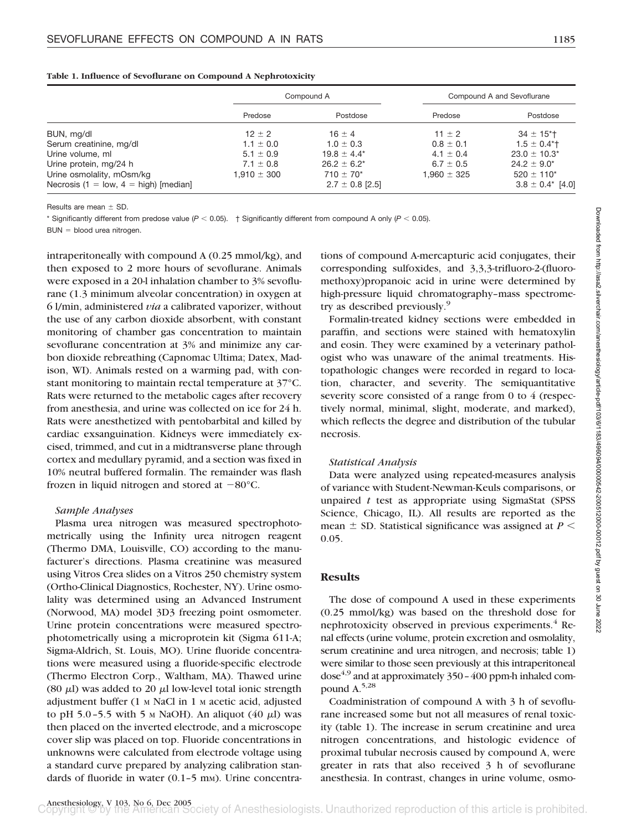|                                         | Compound A      |                     | Compound A and Sevoflurane |                              |
|-----------------------------------------|-----------------|---------------------|----------------------------|------------------------------|
|                                         | Predose         | Postdose            | Predose                    | Postdose                     |
| BUN, mg/dl                              | $12 \pm 2$      | $16 \pm 4$          | 11 $\pm$ 2                 | $34 \pm 15$ <sup>*</sup> T   |
| Serum creatinine, mg/dl                 | $1.1 \pm 0.0$   | $1.0 \pm 0.3$       | $0.8 \pm 0.1$              | $1.5 \pm 0.4$ <sup>*</sup> t |
| Urine volume, ml                        | $5.1 \pm 0.9$   | $19.8 \pm 4.4^*$    | $4.1 \pm 0.4$              | $23.0 \pm 10.3^*$            |
| Urine protein, mg/24 h                  | $7.1 \pm 0.8$   | $26.2 \pm 6.2^*$    | $6.7 \pm 0.5$              | $24.2 \pm 9.0^*$             |
| Urine osmolality, mOsm/kg               | $1.910 \pm 300$ | $710 \pm 70^*$      | $1.960 \pm 325$            | $520 \pm 110^*$              |
| Necrosis (1 = low, $4 =$ high) [median] |                 | $2.7 \pm 0.8$ [2.5] |                            | $3.8 \pm 0.4^*$ [4.0]        |

#### **Table 1. Influence of Sevoflurane on Compound A Nephrotoxicity**

Results are mean  $\pm$  SD.

\* Significantly different from predose value ( $P < 0.05$ ). † Significantly different from compound A only ( $P < 0.05$ ).

 $BUN = blood$  urea nitrogen.

intraperitoneally with compound A (0.25 mmol/kg), and then exposed to 2 more hours of sevoflurane. Animals were exposed in a 20-l inhalation chamber to 3% sevoflurane (1.3 minimum alveolar concentration) in oxygen at 6 l/min, administered *via* a calibrated vaporizer, without the use of any carbon dioxide absorbent, with constant monitoring of chamber gas concentration to maintain sevoflurane concentration at 3% and minimize any carbon dioxide rebreathing (Capnomac Ultima; Datex, Madison, WI). Animals rested on a warming pad, with constant monitoring to maintain rectal temperature at 37°C. Rats were returned to the metabolic cages after recovery from anesthesia, and urine was collected on ice for 24 h. Rats were anesthetized with pentobarbital and killed by cardiac exsanguination. Kidneys were immediately excised, trimmed, and cut in a midtransverse plane through cortex and medullary pyramid, and a section was fixed in 10% neutral buffered formalin. The remainder was flash frozen in liquid nitrogen and stored at  $-80^{\circ}$ C.

#### *Sample Analyses*

Plasma urea nitrogen was measured spectrophotometrically using the Infinity urea nitrogen reagent (Thermo DMA, Louisville, CO) according to the manufacturer's directions. Plasma creatinine was measured using Vitros Crea slides on a Vitros 250 chemistry system (Ortho-Clinical Diagnostics, Rochester, NY). Urine osmolality was determined using an Advanced Instrument (Norwood, MA) model 3D3 freezing point osmometer. Urine protein concentrations were measured spectrophotometrically using a microprotein kit (Sigma 611-A; Sigma-Aldrich, St. Louis, MO). Urine fluoride concentrations were measured using a fluoride-specific electrode (Thermo Electron Corp., Waltham, MA). Thawed urine (80  $\mu$ l) was added to 20  $\mu$ l low-level total ionic strength adjustment buffer (1 <sup>M</sup> NaCl in 1 <sup>M</sup> acetic acid, adjusted to pH 5.0-5.5 with 5  $\text{M}$  NaOH). An aliquot (40  $\mu$ l) was then placed on the inverted electrode, and a microscope cover slip was placed on top. Fluoride concentrations in unknowns were calculated from electrode voltage using a standard curve prepared by analyzing calibration standards of fluoride in water  $(0.1-5 \text{ mm})$ . Urine concentrations of compound A-mercapturic acid conjugates, their corresponding sulfoxides, and 3,3,3-trifluoro-2-(fluoromethoxy)propanoic acid in urine were determined by high-pressure liquid chromatography–mass spectrometry as described previously.<sup>9</sup>

Formalin-treated kidney sections were embedded in paraffin, and sections were stained with hematoxylin and eosin. They were examined by a veterinary pathologist who was unaware of the animal treatments. Histopathologic changes were recorded in regard to location, character, and severity. The semiquantitative severity score consisted of a range from 0 to 4 (respectively normal, minimal, slight, moderate, and marked), which reflects the degree and distribution of the tubular necrosis.

### *Statistical Analysis*

Data were analyzed using repeated-measures analysis of variance with Student-Newman-Keuls comparisons, or unpaired *t* test as appropriate using SigmaStat (SPSS Science, Chicago, IL). All results are reported as the mean  $\pm$  SD. Statistical significance was assigned at  $P \leq$ 0.05.

## **Results**

The dose of compound A used in these experiments (0.25 mmol/kg) was based on the threshold dose for nephrotoxicity observed in previous experiments.<sup>4</sup> Renal effects (urine volume, protein excretion and osmolality, serum creatinine and urea nitrogen, and necrosis; table 1) were similar to those seen previously at this intraperitoneal dose $4.9$  and at approximately 350 - 400 ppm-h inhaled compound A.5,28

Coadministration of compound A with 3 h of sevoflurane increased some but not all measures of renal toxicity (table 1). The increase in serum creatinine and urea nitrogen concentrations, and histologic evidence of proximal tubular necrosis caused by compound A, were greater in rats that also received 3 h of sevoflurane anesthesia. In contrast, changes in urine volume, osmo-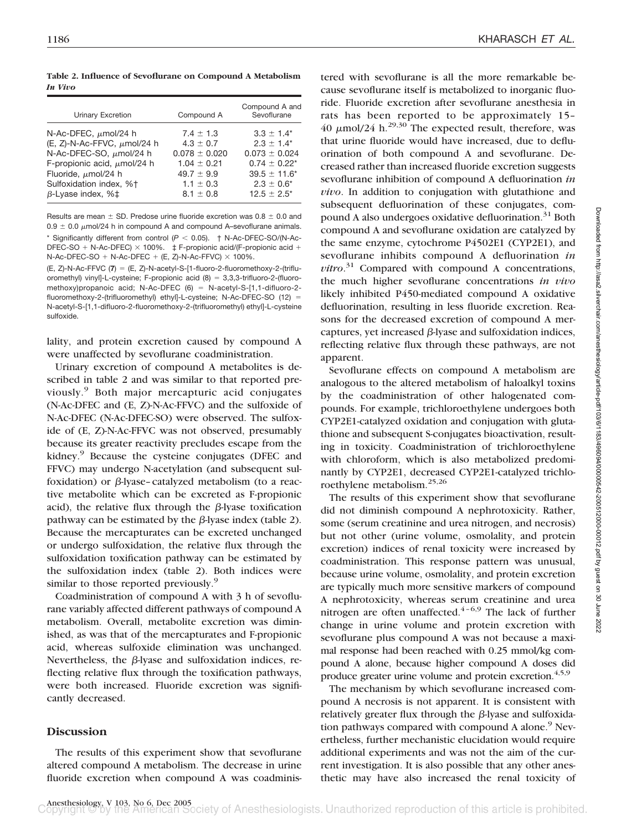**Table 2. Influence of Sevoflurane on Compound A Metabolism** *In Vivo*

| Urinary Excretion                | Compound A        | Compound A and<br>Sevoflurane |
|----------------------------------|-------------------|-------------------------------|
| N-Ac-DFEC, $\mu$ mol/24 h        | $7.4 + 1.3$       | $3.3 \pm 1.4^*$               |
| (E, Z)-N-Ac-FFVC, $\mu$ mol/24 h | $4.3 \pm 0.7$     | $2.3 + 1.4*$                  |
| N-Ac-DFEC-SO, µmol/24 h          | $0.078 \pm 0.020$ | $0.073 \pm 0.024$             |
| F-propionic acid, $\mu$ mol/24 h | $1.04 \pm 0.21$   | $0.74 \pm 0.22^*$             |
| Fluoride, $\mu$ mol/24 h         | $49.7 \pm 9.9$    | $39.5 \pm 11.6^*$             |
| Sulfoxidation index, %+          | $1.1 \pm 0.3$     | $2.3 \pm 0.6^*$               |
| $\beta$ -Lyase index, % $\pm$    | $8.1 \pm 0.8$     | $12.5 \pm 2.5^*$              |
|                                  |                   |                               |

Results are mean  $\pm$  SD. Predose urine fluoride excretion was 0.8  $\pm$  0.0 and 0.9  $\pm$  0.0  $\mu$ mol/24 h in compound A and compound A-sevoflurane animals. Significantly different from control  $(P < 0.05)$ .  $\uparrow$  N-Ac-DFEC-SO/(N-Ac-DFEC-SO + N-Ac-DFEC)  $\times$  100%.  $\,\,\ddagger$  F-propionic acid/(F-propionic acid + N-Ac-DFEC-SO + N-Ac-DFEC + (E, Z)-N-Ac-FFVC)  $\times$  100%.

(E, Z)-N-Ac-FFVC (7) = (E, Z)-N-acetyl-S-[1-fluoro-2-fluoromethoxy-2-(trifluoromethyl) vinyl]-L-cysteine; F-propionic acid  $(8) = 3,3,3$ -trifluoro-2-(fluoromethoxy)propanoic acid; N-Ac-DFEC  $(6)$  = N-acetyl-S-[1,1-difluoro-2fluoromethoxy-2-(trifluoromethyl) ethyl]-L-cysteine; N-Ac-DFEC-SO (12) N-acetyl-S-[1,1-difluoro-2-fluoromethoxy-2-(trifluoromethyl) ethyl]-L-cysteine sulfoxide.

lality, and protein excretion caused by compound A were unaffected by sevoflurane coadministration.

Urinary excretion of compound A metabolites is described in table 2 and was similar to that reported previously.<sup>9</sup> Both major mercapturic acid conjugates (N-Ac-DFEC and (E, Z)-N-Ac-FFVC) and the sulfoxide of N-Ac-DFEC (N-Ac-DFEC-SO) were observed. The sulfoxide of (E, Z)-N-Ac-FFVC was not observed, presumably because its greater reactivity precludes escape from the kidney.<sup>9</sup> Because the cysteine conjugates (DFEC and FFVC) may undergo N-acetylation (and subsequent sulfoxidation) or  $\beta$ -lyase–catalyzed metabolism (to a reactive metabolite which can be excreted as F-propionic acid), the relative flux through the  $\beta$ -lyase toxification pathway can be estimated by the  $\beta$ -lyase index (table 2). Because the mercapturates can be excreted unchanged or undergo sulfoxidation, the relative flux through the sulfoxidation toxification pathway can be estimated by the sulfoxidation index (table 2). Both indices were similar to those reported previously.<sup>9</sup>

Coadministration of compound A with 3 h of sevoflurane variably affected different pathways of compound A metabolism. Overall, metabolite excretion was diminished, as was that of the mercapturates and F-propionic acid, whereas sulfoxide elimination was unchanged. Nevertheless, the  $\beta$ -lyase and sulfoxidation indices, reflecting relative flux through the toxification pathways, were both increased. Fluoride excretion was significantly decreased.

## **Discussion**

The results of this experiment show that sevoflurane altered compound A metabolism. The decrease in urine fluoride excretion when compound A was coadministered with sevoflurane is all the more remarkable because sevoflurane itself is metabolized to inorganic fluoride. Fluoride excretion after sevoflurane anesthesia in rats has been reported to be approximately 15– 40  $\mu$ mol/24 h.<sup>29,30</sup> The expected result, therefore, was that urine fluoride would have increased, due to defluorination of both compound A and sevoflurane. Decreased rather than increased fluoride excretion suggests sevoflurane inhibition of compound A defluorination *in vivo*. In addition to conjugation with glutathione and subsequent defluorination of these conjugates, compound A also undergoes oxidative defluorination. $31$  Both compound A and sevoflurane oxidation are catalyzed by the same enzyme, cytochrome P4502E1 (CYP2E1), and sevoflurane inhibits compound A defluorination *in vitro*. <sup>31</sup> Compared with compound A concentrations, the much higher sevoflurane concentrations *in vivo* likely inhibited P450-mediated compound A oxidative defluorination, resulting in less fluoride excretion. Reasons for the decreased excretion of compound A mercaptures, yet increased  $\beta$ -lyase and sulfoxidation indices, reflecting relative flux through these pathways, are not apparent.

Sevoflurane effects on compound A metabolism are analogous to the altered metabolism of haloalkyl toxins by the coadministration of other halogenated compounds. For example, trichloroethylene undergoes both CYP2E1-catalyzed oxidation and conjugation with glutathione and subsequent S-conjugates bioactivation, resulting in toxicity. Coadministration of trichloroethylene with chloroform, which is also metabolized predominantly by CYP2E1, decreased CYP2E1-catalyzed trichloroethylene metabolism.25,26

The results of this experiment show that sevoflurane did not diminish compound A nephrotoxicity. Rather, some (serum creatinine and urea nitrogen, and necrosis) but not other (urine volume, osmolality, and protein excretion) indices of renal toxicity were increased by coadministration. This response pattern was unusual, because urine volume, osmolality, and protein excretion are typically much more sensitive markers of compound A nephrotoxicity, whereas serum creatinine and urea nitrogen are often unaffected. $4-6.9$  The lack of further change in urine volume and protein excretion with sevoflurane plus compound A was not because a maximal response had been reached with 0.25 mmol/kg compound A alone, because higher compound A doses did produce greater urine volume and protein excretion.<sup>4,5,9</sup>

The mechanism by which sevoflurane increased compound A necrosis is not apparent. It is consistent with relatively greater flux through the  $\beta$ -lyase and sulfoxidation pathways compared with compound A alone.<sup>9</sup> Nevertheless, further mechanistic elucidation would require additional experiments and was not the aim of the current investigation. It is also possible that any other anesthetic may have also increased the renal toxicity of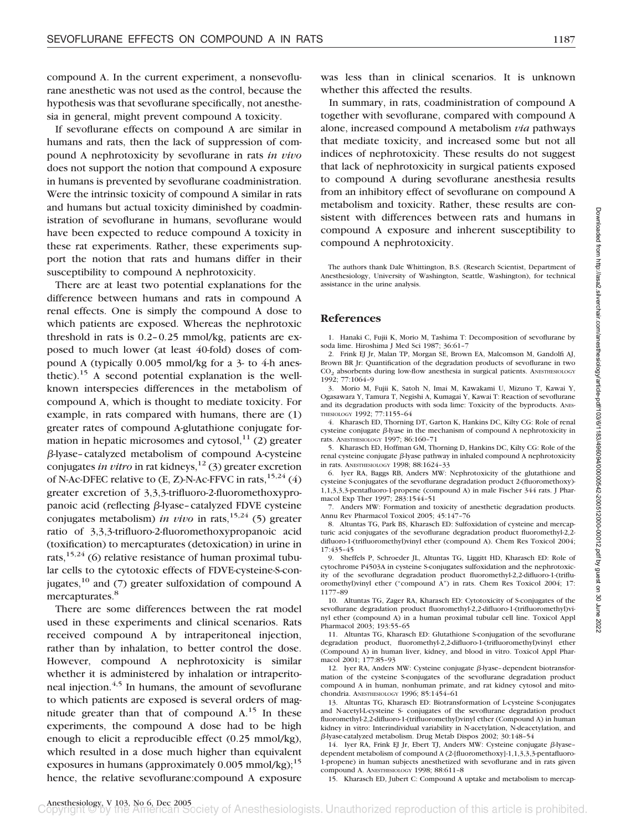compound A. In the current experiment, a nonsevoflurane anesthetic was not used as the control, because the hypothesis was that sevoflurane specifically, not anesthesia in general, might prevent compound A toxicity.

If sevoflurane effects on compound A are similar in humans and rats, then the lack of suppression of compound A nephrotoxicity by sevoflurane in rats *in vivo* does not support the notion that compound A exposure in humans is prevented by sevoflurane coadministration. Were the intrinsic toxicity of compound A similar in rats and humans but actual toxicity diminished by coadministration of sevoflurane in humans, sevoflurane would have been expected to reduce compound A toxicity in these rat experiments. Rather, these experiments support the notion that rats and humans differ in their susceptibility to compound A nephrotoxicity.

There are at least two potential explanations for the difference between humans and rats in compound A renal effects. One is simply the compound A dose to which patients are exposed. Whereas the nephrotoxic threshold in rats is 0.2–0.25 mmol/kg, patients are exposed to much lower (at least 40-fold) doses of compound A (typically 0.005 mmol/kg for a 3- to 4-h anesthetic).<sup>15</sup> A second potential explanation is the wellknown interspecies differences in the metabolism of compound A, which is thought to mediate toxicity. For example, in rats compared with humans, there are (1) greater rates of compound A-glutathione conjugate formation in hepatic microsomes and cytosol, $^{11}$  (2) greater -lyase–catalyzed metabolism of compound A-cysteine conjugates *in vitro* in rat kidneys,<sup>12</sup> (3) greater excretion of N-Ac-DFEC relative to  $(E, Z)$ -N-Ac-FFVC in rats,  $15,24$  (4) greater excretion of 3,3,3-trifluoro-2-fluoromethoxypropanoic acid (reflecting  $\beta$ -lyase–catalyzed FDVE cysteine conjugates metabolism) *in vivo* in rats,<sup>15,24</sup> (5) greater ratio of 3,3,3-trifluoro-2-fluoromethoxypropanoic acid (toxification) to mercapturates (detoxication) in urine in rats,  $15,24$  (6) relative resistance of human proximal tubular cells to the cytotoxic effects of FDVE-cysteine-S-conjugates, $^{10}$  and (7) greater sulfoxidation of compound A mercapturates.<sup>8</sup>

There are some differences between the rat model used in these experiments and clinical scenarios. Rats received compound A by intraperitoneal injection, rather than by inhalation, to better control the dose. However, compound A nephrotoxicity is similar whether it is administered by inhalation or intraperitoneal injection. $4,5$  In humans, the amount of sevoflurane to which patients are exposed is several orders of magnitude greater than that of compound  $A<sup>15</sup>$  In these experiments, the compound A dose had to be high enough to elicit a reproducible effect (0.25 mmol/kg), which resulted in a dose much higher than equivalent exposures in humans (approximately  $0.005$  mmol/kg);<sup>15</sup> hence, the relative sevoflurane:compound A exposure

was less than in clinical scenarios. It is unknown whether this affected the results.

In summary, in rats, coadministration of compound A together with sevoflurane, compared with compound A alone, increased compound A metabolism *via* pathways that mediate toxicity, and increased some but not all indices of nephrotoxicity. These results do not suggest that lack of nephrotoxicity in surgical patients exposed to compound A during sevoflurane anesthesia results from an inhibitory effect of sevoflurane on compound A metabolism and toxicity. Rather, these results are consistent with differences between rats and humans in compound A exposure and inherent susceptibility to compound A nephrotoxicity.

The authors thank Dale Whittington, B.S. (Research Scientist, Department of Anesthesiology, University of Washington, Seattle, Washington), for technical assistance in the urine analysis.

## **References**

1. Hanaki C, Fujii K, Morio M, Tashima T: Decomposition of sevoflurane by soda lime. Hiroshima J Med Sci 1987; 36:61–7

2. Frink EJ Jr, Malan TP, Morgan SE, Brown EA, Malcomson M, Gandolfi AJ, Brown BR Jr: Quantification of the degradation products of sevoflurane in two CO<sub>2</sub> absorbents during low-flow anesthesia in surgical patients. ANESTHESIOLOGY 1992; 77:1064–9

3. Morio M, Fujii K, Satoh N, Imai M, Kawakami U, Mizuno T, Kawai Y, Ogasawara Y, Tamura T, Negishi A, Kumagai Y, Kawai T: Reaction of sevoflurane and its degradation products with soda lime: Toxicity of the byproducts. ANES-THESIOLOGY 1992; 77:1155–64

4. Kharasch ED, Thorning DT, Garton K, Hankins DC, Kilty CG: Role of renal cysteine conjugate  $\beta$ -lyase in the mechanism of compound A nephrotoxicity in rats. ANESTHESIOLOGY 1997; 86:160–71

5. Kharasch ED, Hoffman GM, Thorning D, Hankins DC, Kilty CG: Role of the  $r$ enal cysteine conjugate  $\beta$ -lyase pathway in inhaled compound A nephrotoxicity in rats. ANESTHESIOLOGY 1998; 88:1624–33

6. Iyer RA, Baggs RB, Anders MW: Nephrotoxicity of the glutathione and cysteine S-conjugates of the sevoflurane degradation product 2-(fluoromethoxy)- 1,1,3,3,3-pentafluoro-1-propene (compound A) in male Fischer 344 rats. J Pharmacol Exp Ther 1997; 283:1544–51

7. Anders MW: Formation and toxicity of anesthetic degradation products. Annu Rev Pharmacol Toxicol 2005; 45:147–76

8. Altuntas TG, Park BS, Kharasch ED: Sulfoxidation of cysteine and mercapturic acid conjugates of the sevoflurane degradation product fluoromethyl-2,2 difluoro-1-(trifluoromethyl)vinyl ether (compound A). Chem Res Toxicol 2004; 17:435–45

9. Sheffels P, Schroeder JL, Altuntas TG, Liggitt HD, Kharasch ED: Role of cytochrome P4503A in cysteine S-conjugates sulfoxidation and the nephrotoxicity of the sevoflurane degradation product fluoromethyl-2,2-difluoro-1-(trifluoromethyl)vinyl ether ("compound A") in rats. Chem Res Toxicol 2004; 17: 1177–89

10. Altuntas TG, Zager RA, Kharasch ED: Cytotoxicity of S-conjugates of the sevoflurane degradation product fluoromethyl-2,2-difluoro-1-(trifluoromethyl)vinyl ether (compound A) in a human proximal tubular cell line. Toxicol Appl Pharmacol 2003; 193:55–65

11. Altuntas TG, Kharasch ED: Glutathione S-conjugation of the sevoflurane degradation product, fluoromethyl-2,2-difluoro-1-(trifluoromethyl)vinyl ether (Compound A) in human liver, kidney, and blood in vitro. Toxicol Appl Pharmacol 2001; 177:85–93

12. Iyer RA, Anders MW: Cysteine conjugate  $\beta$ -lyase-dependent biotransformation of the cysteine S-conjugates of the sevoflurane degradation product compound A in human, nonhuman primate, and rat kidney cytosol and mitochondria. ANESTHESIOLOGY 1996; 85:1454–61

13. Altuntas TG, Kharasch ED: Biotransformation of L-cysteine S-conjugates and N-acetyl-L-cysteine S- conjugates of the sevoflurane degradation product fluoromethyl-2,2-difluoro-1-(trifluoromethyl)vinyl ether (Compound A) in human kidney in vitro: Interindividual variability in N-acetylation, N-deacetylation, and -lyase-catalyzed metabolism. Drug Metab Dispos 2002; 30:148–54

14. Iyer RA, Frink EJ Jr, Ebert TJ, Anders MW: Cysteine conjugate  $\beta$ -lyasedependent metabolism of compound A (2-[fluoromethoxy]-1,1,3,3,3-pentafluoro-1-propene) in human subjects anesthetized with sevoflurane and in rats given compound A. ANESTHESIOLOGY 1998; 88:611–8

15. Kharasch ED, Jubert C: Compound A uptake and metabolism to mercap-